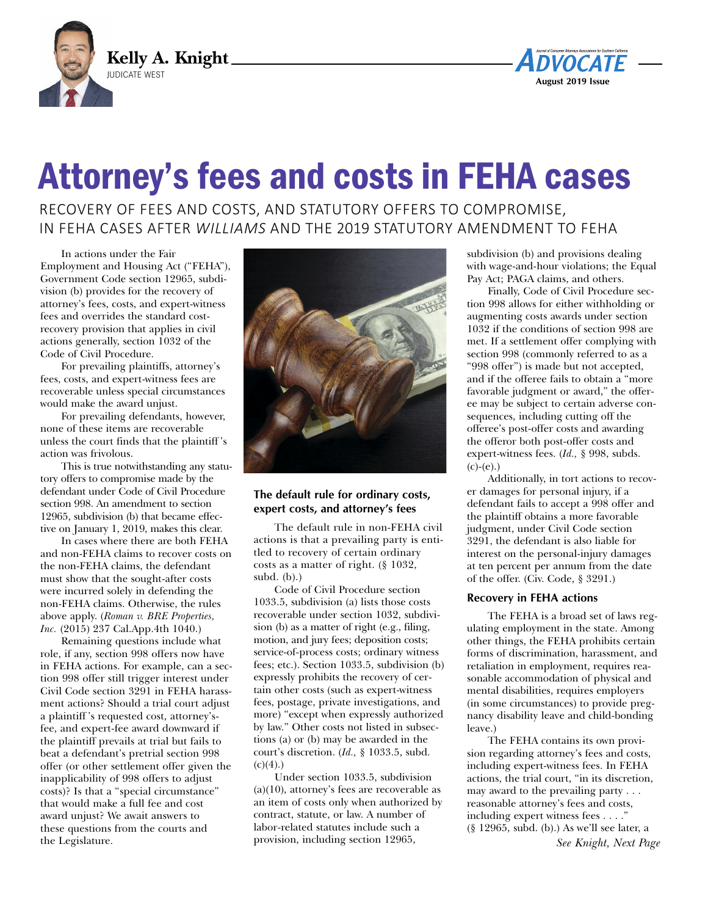



# Attorney's fees and costs in FEHA cases

RECOVERY OF FEES AND COSTS, AND STATUTORY OFFERS TO COMPROMISE, IN FEHA CASES AFTER *WILLIAMS* AND THE 2019 STATUTORY AMENDMENT TO FEHA

In actions under the Fair Employment and Housing Act ("FEHA"), Government Code section 12965, subdivision (b) provides for the recovery of attorney's fees, costs, and expert-witness fees and overrides the standard costrecovery provision that applies in civil actions generally, section 1032 of the Code of Civil Procedure.

For prevailing plaintiffs, attorney's fees, costs, and expert-witness fees are recoverable unless special circumstances would make the award unjust.

For prevailing defendants, however, none of these items are recoverable unless the court finds that the plaintiff 's action was frivolous.

This is true notwithstanding any statutory offers to compromise made by the defendant under Code of Civil Procedure section 998. An amendment to section 12965, subdivision (b) that became effective on January 1, 2019, makes this clear.

In cases where there are both FEHA and non-FEHA claims to recover costs on the non-FEHA claims, the defendant must show that the sought-after costs were incurred solely in defending the non-FEHA claims. Otherwise, the rules above apply. (*Roman v. BRE Properties, Inc.* (2015) 237 Cal.App.4th 1040.)

Remaining questions include what role, if any, section 998 offers now have in FEHA actions. For example, can a section 998 offer still trigger interest under Civil Code section 3291 in FEHA harassment actions? Should a trial court adjust a plaintiff 's requested cost, attorney'sfee, and expert-fee award downward if the plaintiff prevails at trial but fails to beat a defendant's pretrial section 998 offer (or other settlement offer given the inapplicability of 998 offers to adjust costs)? Is that a "special circumstance" that would make a full fee and cost award unjust? We await answers to these questions from the courts and the Legislature.



## **The default rule for ordinary costs, expert costs, and attorney's fees**

The default rule in non-FEHA civil actions is that a prevailing party is entitled to recovery of certain ordinary costs as a matter of right. (§ 1032, subd.  $(b)$ .)

Code of Civil Procedure section 1033.5, subdivision (a) lists those costs recoverable under section 1032, subdivision (b) as a matter of right (e.g., filing, motion, and jury fees; deposition costs; service-of-process costs; ordinary witness fees; etc.). Section 1033.5, subdivision (b) expressly prohibits the recovery of certain other costs (such as expert-witness fees, postage, private investigations, and more) "except when expressly authorized by law." Other costs not listed in subsections (a) or (b) may be awarded in the court's discretion. (*Id.,* § 1033.5, subd.  $(c)(4)$ .)

Under section 1033.5, subdivision  $(a)(10)$ , attorney's fees are recoverable as an item of costs only when authorized by contract, statute, or law. A number of labor-related statutes include such a provision, including section 12965,

subdivision (b) and provisions dealing with wage-and-hour violations; the Equal Pay Act; PAGA claims, and others.

Finally, Code of Civil Procedure section 998 allows for either withholding or augmenting costs awards under section 1032 if the conditions of section 998 are met. If a settlement offer complying with section 998 (commonly referred to as a "998 offer") is made but not accepted, and if the offeree fails to obtain a "more favorable judgment or award," the offeree may be subject to certain adverse consequences, including cutting off the offeree's post-offer costs and awarding the offeror both post-offer costs and expert-witness fees. (*Id.,* § 998, subds.  $(c)-(e).$ 

Additionally, in tort actions to recover damages for personal injury, if a defendant fails to accept a 998 offer and the plaintiff obtains a more favorable judgment, under Civil Code section 3291, the defendant is also liable for interest on the personal-injury damages at ten percent per annum from the date of the offer. (Civ. Code, § 3291.)

#### **Recovery in FEHA actions**

The FEHA is a broad set of laws regulating employment in the state. Among other things, the FEHA prohibits certain forms of discrimination, harassment, and retaliation in employment, requires reasonable accommodation of physical and mental disabilities, requires employers (in some circumstances) to provide pregnancy disability leave and child-bonding leave.)

The FEHA contains its own provision regarding attorney's fees and costs, including expert-witness fees. In FEHA actions, the trial court, "in its discretion, may award to the prevailing party . . . reasonable attorney's fees and costs, including expert witness fees . . . ." (§ 12965, subd. (b).) As we'll see later, a *See Knight, Next Page*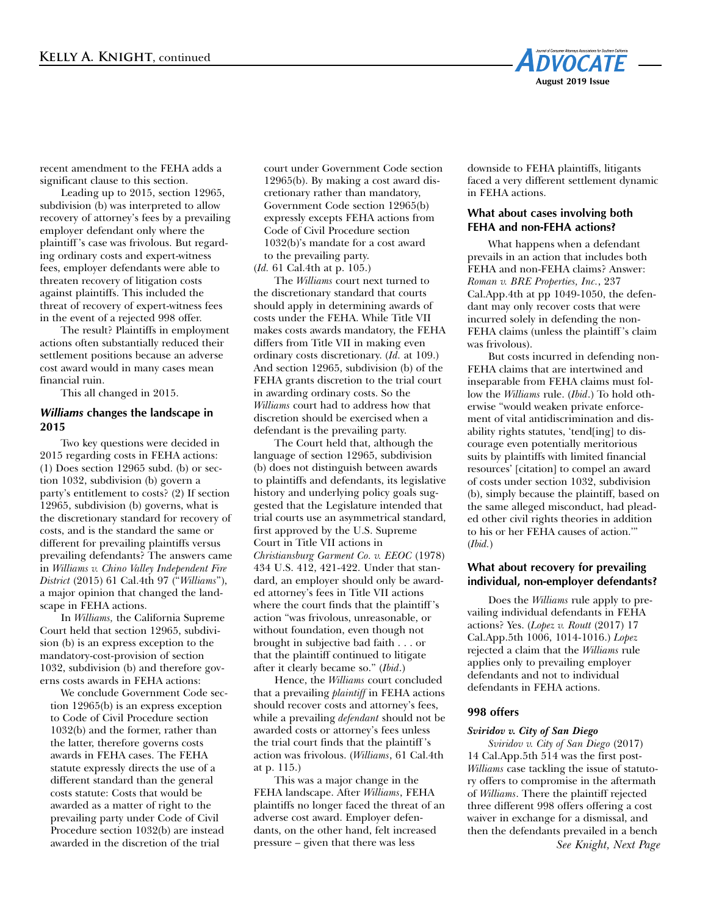

recent amendment to the FEHA adds a significant clause to this section.

Leading up to 2015, section 12965, subdivision (b) was interpreted to allow recovery of attorney's fees by a prevailing employer defendant only where the plaintiff 's case was frivolous. But regarding ordinary costs and expert-witness fees, employer defendants were able to threaten recovery of litigation costs against plaintiffs. This included the threat of recovery of expert-witness fees in the event of a rejected 998 offer.

The result? Plaintiffs in employment actions often substantially reduced their settlement positions because an adverse cost award would in many cases mean financial ruin.

This all changed in 2015.

#### *Williams* **changes the landscape in 2015**

Two key questions were decided in 2015 regarding costs in FEHA actions: (1) Does section 12965 subd. (b) or section 1032, subdivision (b) govern a party's entitlement to costs? (2) If section 12965, subdivision (b) governs, what is the discretionary standard for recovery of costs, and is the standard the same or different for prevailing plaintiffs versus prevailing defendants? The answers came in *Williams v. Chino Valley Independent Fire District* (2015) 61 Cal.4th 97 ("*Williams*"), a major opinion that changed the landscape in FEHA actions.

In *Williams,* the California Supreme Court held that section 12965, subdivision (b) is an express exception to the mandatory-cost-provision of section 1032, subdivision (b) and therefore governs costs awards in FEHA actions:

We conclude Government Code section 12965(b) is an express exception to Code of Civil Procedure section 1032(b) and the former, rather than the latter, therefore governs costs awards in FEHA cases. The FEHA statute expressly directs the use of a different standard than the general costs statute: Costs that would be awarded as a matter of right to the prevailing party under Code of Civil Procedure section 1032(b) are instead awarded in the discretion of the trial

court under Government Code section 12965(b). By making a cost award discretionary rather than mandatory, Government Code section 12965(b) expressly excepts FEHA actions from Code of Civil Procedure section 1032(b)'s mandate for a cost award to the prevailing party. (*Id.* 61 Cal.4th at p. 105.)

The *Williams* court next turned to the discretionary standard that courts should apply in determining awards of costs under the FEHA. While Title VII makes costs awards mandatory, the FEHA differs from Title VII in making even ordinary costs discretionary. (*Id.* at 109.) And section 12965, subdivision (b) of the FEHA grants discretion to the trial court in awarding ordinary costs. So the *Williams* court had to address how that discretion should be exercised when a defendant is the prevailing party.

The Court held that, although the language of section 12965, subdivision (b) does not distinguish between awards to plaintiffs and defendants, its legislative history and underlying policy goals suggested that the Legislature intended that trial courts use an asymmetrical standard, first approved by the U.S. Supreme Court in Title VII actions in *Christiansburg Garment Co. v. EEOC* (1978) 434 U.S. 412, 421-422. Under that standard, an employer should only be awarded attorney's fees in Title VII actions where the court finds that the plaintiff 's action "was frivolous, unreasonable, or without foundation, even though not brought in subjective bad faith . . . or that the plaintiff continued to litigate after it clearly became so." (*Ibid*.)

Hence, the *Williams* court concluded that a prevailing *plaintiff* in FEHA actions should recover costs and attorney's fees, while a prevailing *defendant* should not be awarded costs or attorney's fees unless the trial court finds that the plaintiff 's action was frivolous. (*Williams*, 61 Cal.4th at p. 115.)

This was a major change in the FEHA landscape. After *Williams*, FEHA plaintiffs no longer faced the threat of an adverse cost award. Employer defendants, on the other hand, felt increased pressure – given that there was less

downside to FEHA plaintiffs, litigants faced a very different settlement dynamic in FEHA actions.

## **What about cases involving both FEHA and non-FEHA actions?**

What happens when a defendant prevails in an action that includes both FEHA and non-FEHA claims? Answer: *Roman v. BRE Properties, Inc.*, 237 Cal.App.4th at pp 1049-1050, the defendant may only recover costs that were incurred solely in defending the non-FEHA claims (unless the plaintiff 's claim was frivolous).

But costs incurred in defending non-FEHA claims that are intertwined and inseparable from FEHA claims must follow the *Williams* rule. (*Ibid*.) To hold otherwise "would weaken private enforcement of vital antidiscrimination and disability rights statutes, 'tend[ing] to discourage even potentially meritorious suits by plaintiffs with limited financial resources' [citation] to compel an award of costs under section 1032, subdivision (b), simply because the plaintiff, based on the same alleged misconduct, had pleaded other civil rights theories in addition to his or her FEHA causes of action.'" (*Ibid.*)

## **What about recovery for prevailing individual, non-employer defendants?**

Does the *Williams* rule apply to prevailing individual defendants in FEHA actions? Yes. (*Lopez v. Routt* (2017) 17 Cal.App.5th 1006, 1014-1016.) *Lopez* rejected a claim that the *Williams* rule applies only to prevailing employer defendants and not to individual defendants in FEHA actions.

#### **998 offers**

#### *Sviridov v. City of San Diego*

*Sviridov v. City of San Diego* (2017) 14 Cal.App.5th 514 was the first post-*Williams* case tackling the issue of statutory offers to compromise in the aftermath of *Williams*. There the plaintiff rejected three different 998 offers offering a cost waiver in exchange for a dismissal, and then the defendants prevailed in a bench *See Knight, Next Page*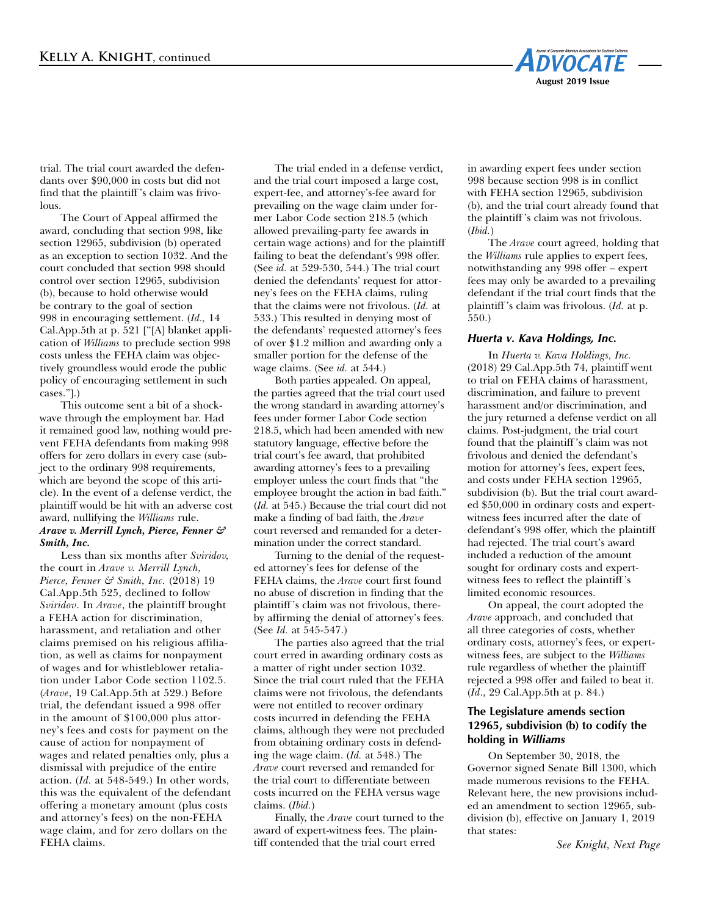

trial. The trial court awarded the defendants over \$90,000 in costs but did not find that the plaintiff 's claim was frivolous.

The Court of Appeal affirmed the award, concluding that section 998, like section 12965, subdivision (b) operated as an exception to section 1032. And the court concluded that section 998 should control over section 12965, subdivision (b), because to hold otherwise would be contrary to the goal of section 998 in encouraging settlement. (*Id.,* 14 Cal.App.5th at p. 521 ["[A] blanket application of *Williams* to preclude section 998 costs unless the FEHA claim was objectively groundless would erode the public policy of encouraging settlement in such cases."].)

This outcome sent a bit of a shockwave through the employment bar. Had it remained good law, nothing would prevent FEHA defendants from making 998 offers for zero dollars in every case (subject to the ordinary 998 requirements, which are beyond the scope of this article). In the event of a defense verdict, the plaintiff would be hit with an adverse cost award, nullifying the *Williams* rule. *Arave v. Merrill Lynch, Pierce, Fenner & Smith, Inc.*

Less than six months after *Sviridov,* the court in *Arave v. Merrill Lynch, Pierce, Fenner & Smith, Inc.* (2018) 19 Cal.App.5th 525, declined to follow *Sviridov*. In *Arave*, the plaintiff brought a FEHA action for discrimination, harassment, and retaliation and other claims premised on his religious affiliation, as well as claims for nonpayment of wages and for whistleblower retaliation under Labor Code section 1102.5. (*Arave*, 19 Cal.App.5th at 529.) Before trial, the defendant issued a 998 offer in the amount of \$100,000 plus attorney's fees and costs for payment on the cause of action for nonpayment of wages and related penalties only, plus a dismissal with prejudice of the entire action. (*Id.* at 548-549.) In other words, this was the equivalent of the defendant offering a monetary amount (plus costs and attorney's fees) on the non-FEHA wage claim, and for zero dollars on the FEHA claims.

The trial ended in a defense verdict, and the trial court imposed a large cost, expert-fee, and attorney's-fee award for prevailing on the wage claim under former Labor Code section 218.5 (which allowed prevailing-party fee awards in certain wage actions) and for the plaintiff failing to beat the defendant's 998 offer. (See *id.* at 529-530, 544.) The trial court denied the defendants' request for attorney's fees on the FEHA claims, ruling that the claims were not frivolous. (*Id.* at 533.) This resulted in denying most of the defendants' requested attorney's fees of over \$1.2 million and awarding only a smaller portion for the defense of the wage claims. (See *id.* at 544.)

Both parties appealed. On appeal, the parties agreed that the trial court used the wrong standard in awarding attorney's fees under former Labor Code section 218.5, which had been amended with new statutory language, effective before the trial court's fee award, that prohibited awarding attorney's fees to a prevailing employer unless the court finds that "the employee brought the action in bad faith." (*Id.* at 545.) Because the trial court did not make a finding of bad faith, the *Arave* court reversed and remanded for a determination under the correct standard.

Turning to the denial of the requested attorney's fees for defense of the FEHA claims, the *Arave* court first found no abuse of discretion in finding that the plaintiff 's claim was not frivolous, thereby affirming the denial of attorney's fees. (See *Id.* at 545-547.)

The parties also agreed that the trial court erred in awarding ordinary costs as a matter of right under section 1032. Since the trial court ruled that the FEHA claims were not frivolous, the defendants were not entitled to recover ordinary costs incurred in defending the FEHA claims, although they were not precluded from obtaining ordinary costs in defending the wage claim. (*Id.* at 548.) The *Arave* court reversed and remanded for the trial court to differentiate between costs incurred on the FEHA versus wage claims. (*Ibid.*)

Finally, the *Arave* court turned to the award of expert-witness fees. The plaintiff contended that the trial court erred

in awarding expert fees under section 998 because section 998 is in conflict with FEHA section 12965, subdivision (b), and the trial court already found that the plaintiff 's claim was not frivolous. (*Ibid.*)

The *Arave* court agreed, holding that the *Williams* rule applies to expert fees, notwithstanding any 998 offer – expert fees may only be awarded to a prevailing defendant if the trial court finds that the plaintiff 's claim was frivolous. (*Id.* at p. 550.)

#### *Huerta v. Kava Holdings, Inc.*

In *Huerta v. Kava Holdings, Inc.* (2018) 29 Cal.App.5th 74, plaintiff went to trial on FEHA claims of harassment, discrimination, and failure to prevent harassment and/or discrimination, and the jury returned a defense verdict on all claims. Post-judgment, the trial court found that the plaintiff 's claim was not frivolous and denied the defendant's motion for attorney's fees, expert fees, and costs under FEHA section 12965, subdivision (b). But the trial court awarded \$50,000 in ordinary costs and expertwitness fees incurred after the date of defendant's 998 offer, which the plaintiff had rejected. The trial court's award included a reduction of the amount sought for ordinary costs and expertwitness fees to reflect the plaintiff 's limited economic resources.

On appeal, the court adopted the *Arave* approach, and concluded that all three categories of costs, whether ordinary costs, attorney's fees, or expertwitness fees, are subject to the *Williams* rule regardless of whether the plaintiff rejected a 998 offer and failed to beat it. (*Id*., 29 Cal.App.5th at p. 84.)

# **The Legislature amends section 12965, subdivision (b) to codify the holding in** *Williams*

On September 30, 2018, the Governor signed Senate Bill 1300, which made numerous revisions to the FEHA. Relevant here, the new provisions included an amendment to section 12965, subdivision (b), effective on January 1, 2019 that states:

*See Knight, Next Page*